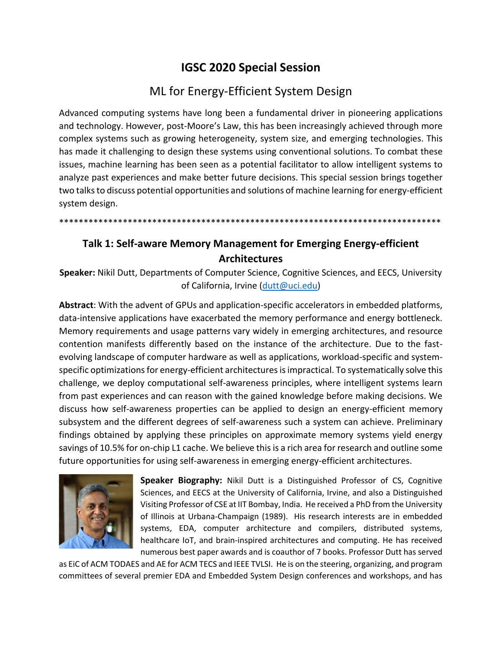## **IGSC 2020 Special Session**

## ML for Energy-Efficient System Design

Advanced computing systems have long been a fundamental driver in pioneering applications and technology. However, post-Moore's Law, this has been increasingly achieved through more complex systems such as growing heterogeneity, system size, and emerging technologies. This has made it challenging to design these systems using conventional solutions. To combat these issues, machine learning has been seen as a potential facilitator to allow intelligent systems to analyze past experiences and make better future decisions. This special session brings together two talks to discuss potential opportunities and solutions of machine learning for energy-efficient system design.

\*\*\*\*\*\*\*\*\*\*\*\*\*\*\*\*\*\*\*\*\*\*\*\*\*\*\*\*\*\*\*\*\*\*\*\*\*\*\*\*\*\*\*\*\*\*\*\*\*\*\*\*\*\*\*\*\*\*\*\*\*\*\*\*\*\*\*\*\*\*\*\*\*\*\*\*\*\*

## **Talk 1: Self-aware Memory Management for Emerging Energy-efficient Architectures**

**Speaker:** Nikil Dutt, Departments of Computer Science, Cognitive Sciences, and EECS, University of California, Irvine [\(dutt@uci.edu\)](mailto:dutt@uci.edu)

**Abstract**: With the advent of GPUs and application-specific accelerators in embedded platforms, data-intensive applications have exacerbated the memory performance and energy bottleneck. Memory requirements and usage patterns vary widely in emerging architectures, and resource contention manifests differently based on the instance of the architecture. Due to the fastevolving landscape of computer hardware as well as applications, workload-specific and systemspecific optimizations for energy-efficient architectures is impractical. To systematically solve this challenge, we deploy computational self-awareness principles, where intelligent systems learn from past experiences and can reason with the gained knowledge before making decisions. We discuss how self-awareness properties can be applied to design an energy-efficient memory subsystem and the different degrees of self-awareness such a system can achieve. Preliminary findings obtained by applying these principles on approximate memory systems yield energy savings of 10.5% for on-chip L1 cache. We believe this is a rich area for research and outline some future opportunities for using self-awareness in emerging energy-efficient architectures.



**Speaker Biography:** Nikil Dutt is a Distinguished Professor of CS, Cognitive Sciences, and EECS at the University of California, Irvine, and also a Distinguished Visiting Professor of CSE at IIT Bombay, India. He received a PhD from the University of Illinois at Urbana-Champaign (1989). His research interests are in embedded systems, EDA, computer architecture and compilers, distributed systems, healthcare IoT, and brain-inspired architectures and computing. He has received numerous best paper awards and is coauthor of 7 books. Professor Dutt has served

as EiC of ACM TODAES and AE for ACM TECS and IEEE TVLSI. He is on the steering, organizing, and program committees of several premier EDA and Embedded System Design conferences and workshops, and has